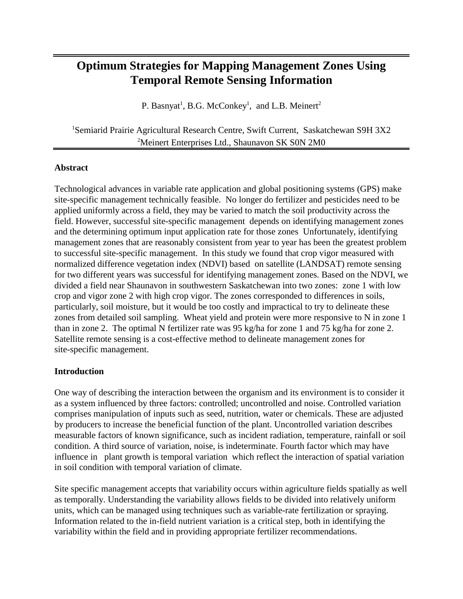# **Optimum Strategies for Mapping Management Zones Using Temporal Remote Sensing Information**

P. Basnyat<sup>1</sup>, B.G. McConkey<sup>1</sup>, and L.B. Meinert<sup>2</sup>

# 1 Semiarid Prairie Agricultural Research Centre, Swift Current, Saskatchewan S9H 3X2 <sup>2</sup>Meinert Enterprises Ltd., Shaunavon SK S0N 2M0

## **Abstract**

Technological advances in variable rate application and global positioning systems (GPS) make site-specific management technically feasible. No longer do fertilizer and pesticides need to be applied uniformly across a field, they may be varied to match the soil productivity across the field. However, successful site-specific management depends on identifying management zones and the determining optimum input application rate for those zones Unfortunately, identifying management zones that are reasonably consistent from year to year has been the greatest problem to successful site-specific management. In this study we found that crop vigor measured with normalized difference vegetation index (NDVI) based on satellite (LANDSAT) remote sensing for two different years was successful for identifying management zones. Based on the NDVI, we divided a field near Shaunavon in southwestern Saskatchewan into two zones: zone 1 with low crop and vigor zone 2 with high crop vigor. The zones corresponded to differences in soils, particularly, soil moisture, but it would be too costly and impractical to try to delineate these zones from detailed soil sampling. Wheat yield and protein were more responsive to N in zone 1 than in zone 2. The optimal N fertilizer rate was 95 kg/ha for zone 1 and 75 kg/ha for zone 2. Satellite remote sensing is a cost-effective method to delineate management zones for site-specific management.

# **Introduction**

One way of describing the interaction between the organism and its environment is to consider it as a system influenced by three factors: controlled; uncontrolled and noise. Controlled variation comprises manipulation of inputs such as seed, nutrition, water or chemicals. These are adjusted by producers to increase the beneficial function of the plant. Uncontrolled variation describes measurable factors of known significance, such as incident radiation, temperature, rainfall or soil condition. A third source of variation, noise, is indeterminate. Fourth factor which may have influence in plant growth is temporal variation which reflect the interaction of spatial variation in soil condition with temporal variation of climate.

Site specific management accepts that variability occurs within agriculture fields spatially as well as temporally. Understanding the variability allows fields to be divided into relatively uniform units, which can be managed using techniques such as variable-rate fertilization or spraying. Information related to the in-field nutrient variation is a critical step, both in identifying the variability within the field and in providing appropriate fertilizer recommendations.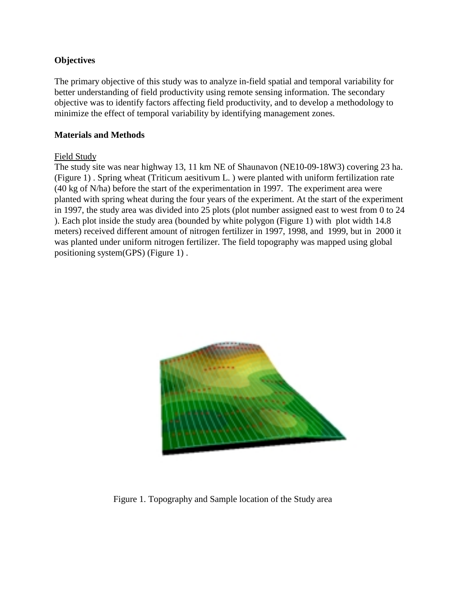## **Objectives**

The primary objective of this study was to analyze in-field spatial and temporal variability for better understanding of field productivity using remote sensing information. The secondary objective was to identify factors affecting field productivity, and to develop a methodology to minimize the effect of temporal variability by identifying management zones.

#### **Materials and Methods**

## Field Study

The study site was near highway 13, 11 km NE of Shaunavon (NE10-09-18W3) covering 23 ha. (Figure 1) . Spring wheat (Triticum aesitivum L. ) were planted with uniform fertilization rate (40 kg of N/ha) before the start of the experimentation in 1997. The experiment area were planted with spring wheat during the four years of the experiment. At the start of the experiment in 1997, the study area was divided into 25 plots (plot number assigned east to west from 0 to 24 ). Each plot inside the study area (bounded by white polygon (Figure 1) with plot width 14.8 meters) received different amount of nitrogen fertilizer in 1997, 1998, and 1999, but in 2000 it was planted under uniform nitrogen fertilizer. The field topography was mapped using global positioning system(GPS) (Figure 1) .



Figure 1. Topography and Sample location of the Study area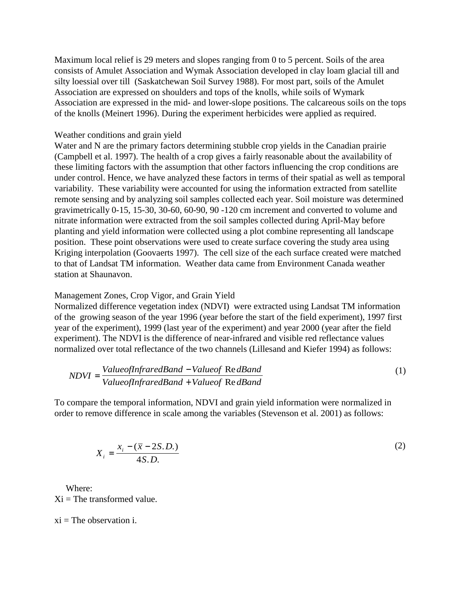Maximum local relief is 29 meters and slopes ranging from 0 to 5 percent. Soils of the area consists of Amulet Association and Wymak Association developed in clay loam glacial till and silty loessial over till (Saskatchewan Soil Survey 1988). For most part, soils of the Amulet Association are expressed on shoulders and tops of the knolls, while soils of Wymark Association are expressed in the mid- and lower-slope positions. The calcareous soils on the tops of the knolls (Meinert 1996). During the experiment herbicides were applied as required.

#### Weather conditions and grain yield

Water and N are the primary factors determining stubble crop yields in the Canadian prairie (Campbell et al. 1997). The health of a crop gives a fairly reasonable about the availability of these limiting factors with the assumption that other factors influencing the crop conditions are under control. Hence, we have analyzed these factors in terms of their spatial as well as temporal variability. These variability were accounted for using the information extracted from satellite remote sensing and by analyzing soil samples collected each year. Soil moisture was determined gravimetrically 0-15, 15-30, 30-60, 60-90, 90 -120 cm increment and converted to volume and nitrate information were extracted from the soil samples collected during April-May before planting and yield information were collected using a plot combine representing all landscape position. These point observations were used to create surface covering the study area using Kriging interpolation (Goovaerts 1997). The cell size of the each surface created were matched to that of Landsat TM information. Weather data came from Environment Canada weather station at Shaunavon.

#### Management Zones, Crop Vigor, and Grain Yield

Normalized difference vegetation index (NDVI) were extracted using Landsat TM information of the growing season of the year 1996 (year before the start of the field experiment), 1997 first year of the experiment), 1999 (last year of the experiment) and year 2000 (year after the field experiment). The NDVI is the difference of near-infrared and visible red reflectance values normalized over total reflectance of the two channels (Lillesand and Kiefer 1994) as follows:

$$
NDVI = \frac{ValueofInfraredBand - Valueof RedBand}{ValueofInfraredBand + Valueof RedBand}
$$
\n(1)

To compare the temporal information, NDVI and grain yield information were normalized in order to remove difference in scale among the variables (Stevenson et al. 2001) as follows:

$$
X_i = \frac{x_i - (\bar{x} - 2S.D.)}{4S.D.}
$$
 (2)

 Where:  $Xi = The transformed value.$ 

 $xi =$ The observation i.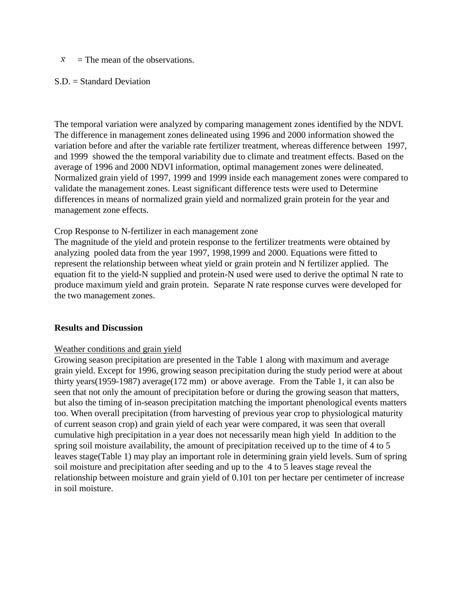$\bar{x}$  = The mean of the observations.

#### S.D. = Standard Deviation

The temporal variation were analyzed by comparing management zones identified by the NDVI. The difference in management zones delineated using 1996 and 2000 information showed the variation before and after the variable rate fertilizer treatment, whereas difference between 1997, and 1999 showed the the temporal variability due to climate and treatment effects. Based on the average of 1996 and 2000 NDVI information, optimal management zones were delineated. Normalized grain yield of 1997, 1999 and 1999 inside each management zones were compared to validate the management zones. Least significant difference tests were used to Determine differences in means of normalized grain yield and normalized grain protein for the year and management zone effects.

## Crop Response to N-fertilizer in each management zone

The magnitude of the yield and protein response to the fertilizer treatments were obtained by analyzing pooled data from the year 1997, 1998,1999 and 2000. Equations were fitted to represent the relationship between wheat yield or grain protein and N fertilizer applied. The equation fit to the yield-N supplied and protein-N used were used to derive the optimal N rate to produce maximum yield and grain protein. Separate N rate response curves were developed for the two management zones.

#### **Results and Discussion**

#### Weather conditions and grain yield

Growing season precipitation are presented in the Table 1 along with maximum and average grain yield. Except for 1996, growing season precipitation during the study period were at about thirty years(1959-1987) average(172 mm) or above average. From the Table 1, it can also be seen that not only the amount of precipitation before or during the growing season that matters, but also the timing of in-season precipitation matching the important phenological events matters too. When overall precipitation (from harvesting of previous year crop to physiological maturity of current season crop) and grain yield of each year were compared, it was seen that overall cumulative high precipitation in a year does not necessarily mean high yield In addition to the spring soil moisture availability, the amount of precipitation received up to the time of 4 to 5 leaves stage(Table 1) may play an important role in determining grain yield levels. Sum of spring soil moisture and precipitation after seeding and up to the 4 to 5 leaves stage reveal the relationship between moisture and grain yield of 0.101 ton per hectare per centimeter of increase in soil moisture.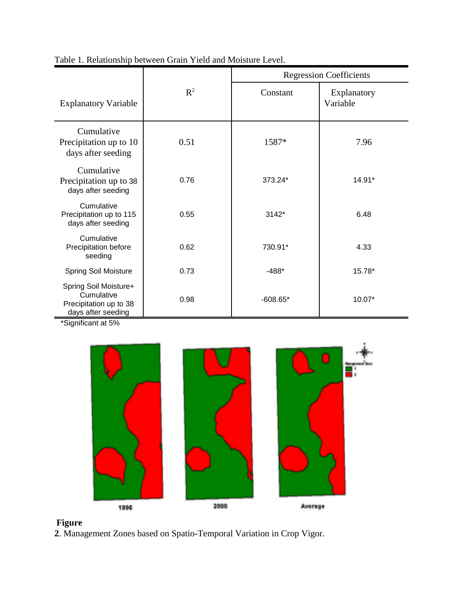|                                                                                     |       | <b>Regression Coefficients</b> |                         |
|-------------------------------------------------------------------------------------|-------|--------------------------------|-------------------------|
| <b>Explanatory Variable</b>                                                         | $R^2$ | Constant                       | Explanatory<br>Variable |
| Cumulative<br>Precipitation up to 10<br>days after seeding                          | 0.51  | 1587*                          | 7.96                    |
| Cumulative<br>Precipitation up to 38<br>days after seeding                          | 0.76  | 373.24*                        | 14.91*                  |
| Cumulative<br>Precipitation up to 115<br>days after seeding                         | 0.55  | 3142*                          | 6.48                    |
| Cumulative<br>Precipitation before<br>seeding                                       | 0.62  | 730.91*                        | 4.33                    |
| <b>Spring Soil Moisture</b>                                                         | 0.73  | $-488*$                        | 15.78*                  |
| Spring Soil Moisture+<br>Cumulative<br>Precipitation up to 38<br>days after seeding | 0.98  | $-608.65*$                     | 10.07*                  |

Table 1. Relationship between Grain Yield and Moisture Level.

\*Significant at 5%



# **Figure**

**2**. Management Zones based on Spatio-Temporal Variation in Crop Vigor.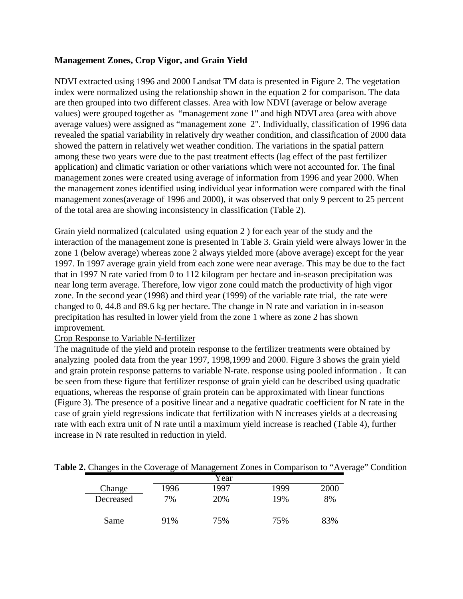## **Management Zones, Crop Vigor, and Grain Yield**

NDVI extracted using 1996 and 2000 Landsat TM data is presented in Figure 2. The vegetation index were normalized using the relationship shown in the equation 2 for comparison. The data are then grouped into two different classes. Area with low NDVI (average or below average values) were grouped together as "management zone 1" and high NDVI area (area with above average values) were assigned as "management zone 2". Individually, classification of 1996 data revealed the spatial variability in relatively dry weather condition, and classification of 2000 data showed the pattern in relatively wet weather condition. The variations in the spatial pattern among these two years were due to the past treatment effects (lag effect of the past fertilizer application) and climatic variation or other variations which were not accounted for. The final management zones were created using average of information from 1996 and year 2000. When the management zones identified using individual year information were compared with the final management zones(average of 1996 and 2000), it was observed that only 9 percent to 25 percent of the total area are showing inconsistency in classification (Table 2).

Grain yield normalized (calculated using equation 2 ) for each year of the study and the interaction of the management zone is presented in Table 3. Grain yield were always lower in the zone 1 (below average) whereas zone 2 always yielded more (above average) except for the year 1997. In 1997 average grain yield from each zone were near average. This may be due to the fact that in 1997 N rate varied from 0 to 112 kilogram per hectare and in-season precipitation was near long term average. Therefore, low vigor zone could match the productivity of high vigor zone. In the second year (1998) and third year (1999) of the variable rate trial, the rate were changed to 0, 44.8 and 89.6 kg per hectare. The change in N rate and variation in in-season precipitation has resulted in lower yield from the zone 1 where as zone 2 has shown improvement.

# Crop Response to Variable N-fertilizer

The magnitude of the yield and protein response to the fertilizer treatments were obtained by analyzing pooled data from the year 1997, 1998,1999 and 2000. Figure 3 shows the grain yield and grain protein response patterns to variable N-rate. response using pooled information . It can be seen from these figure that fertilizer response of grain yield can be described using quadratic equations, whereas the response of grain protein can be approximated with linear functions (Figure 3). The presence of a positive linear and a negative quadratic coefficient for N rate in the case of grain yield regressions indicate that fertilization with N increases yields at a decreasing rate with each extra unit of N rate until a maximum yield increase is reached (Table 4), further increase in N rate resulted in reduction in yield.

#### **Table 2.** Changes in the Coverage of Management Zones in Comparison to "Average" Condition

|           |      | Y ear |      |      |
|-----------|------|-------|------|------|
| Change    | 1996 | 1997  | 1999 | 2000 |
| Decreased | 7%   | 20%   | 19%  | 8%   |
| Same      | 91%  | 75%   | 75%  | 83%  |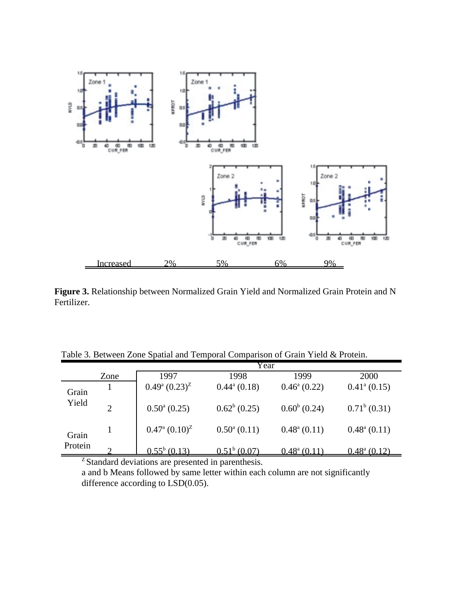

**Figure 3.** Relationship between Normalized Grain Yield and Normalized Grain Protein and N Fertilizer.

|                  |                | Year                                 |                       |                          |                       |  |
|------------------|----------------|--------------------------------------|-----------------------|--------------------------|-----------------------|--|
|                  | Zone           | 1997                                 | 1998                  | 1999                     | 2000                  |  |
| Grain<br>Yield   |                | $(0.49^{\circ} (0.23)^{\mathbb{Z}})$ | $0.44^{\circ} (0.18)$ | $0.46^{\circ}$ (0.22)    | $0.41^{\circ} (0.15)$ |  |
|                  | $\overline{2}$ | $0.50^{\circ}$ (0.25)                | $0.62^b(0.25)$        | $0.60^b(0.24)$           | $0.71^b(0.31)$        |  |
| Grain<br>Protein | $\mathbf{1}$   | $0.47^{\rm a}$ $(0.10)^{\rm Z}$      | $0.50^{\circ}$ (0.11) | $0.48^{\circ} (0.11)$    | $0.48^{\circ} (0.11)$ |  |
|                  |                | $0.55^b(0.13)$                       | $0.51^{\circ}$ (0.07) | $0.48^{\text{a}}$ (0.11) | $0.48^{\circ}$ (0.12) |  |

<sup>Z</sup> Standard deviations are presented in parenthesis.

a and b Means followed by same letter within each column are not significantly difference according to LSD(0.05).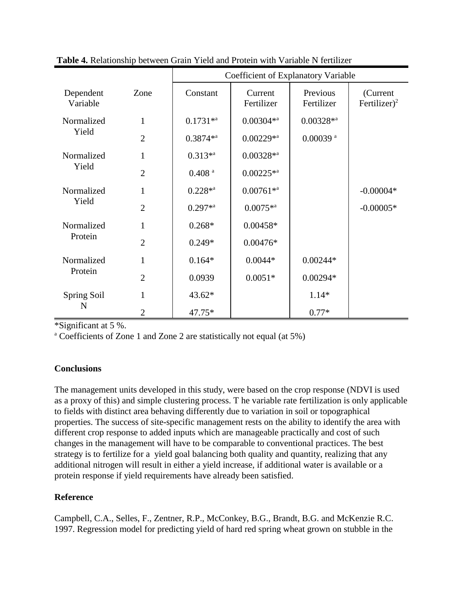|                       |                | <b>Coefficient of Explanatory Variable</b> |                       |                        |                                       |
|-----------------------|----------------|--------------------------------------------|-----------------------|------------------------|---------------------------------------|
| Dependent<br>Variable | Zone           | Constant                                   | Current<br>Fertilizer | Previous<br>Fertilizer | (Current)<br>Fertilizer) <sup>2</sup> |
| Normalized<br>Yield   | $\mathbf{1}$   | $0.1731**$                                 | $0.00304**$           | $0.00328**$            |                                       |
|                       | $\overline{2}$ | $0.3874**$                                 | $0.00229**$           | $0.00039$ <sup>a</sup> |                                       |
| Normalized<br>Yield   | $\mathbf{1}$   | $0.313^{*a}$                               | $0.00328**$           |                        |                                       |
|                       | $\overline{2}$ | $0.408$ <sup>a</sup>                       | $0.00225**$           |                        |                                       |
| Normalized<br>Yield   | $\mathbf{1}$   | $0.228**$                                  | $0.00761**$           |                        | $-0.00004*$                           |
|                       | $\overline{2}$ | $0.297**$                                  | $0.0075**$            |                        | $-0.00005*$                           |
| Normalized<br>Protein | $\mathbf{1}$   | $0.268*$                                   | $0.00458*$            |                        |                                       |
|                       | $\overline{2}$ | $0.249*$                                   | $0.00476*$            |                        |                                       |
| Normalized<br>Protein | 1              | $0.164*$                                   | $0.0044*$             | $0.00244*$             |                                       |
|                       | $\overline{2}$ | 0.0939                                     | $0.0051*$             | $0.00294*$             |                                       |
| Spring Soil<br>N      | 1              | 43.62*                                     |                       | $1.14*$                |                                       |
|                       | $\overline{2}$ | 47.75*                                     |                       | $0.77*$                |                                       |

 **Table 4.** Relationship between Grain Yield and Protein with Variable N fertilizer

\*Significant at 5 %.

<sup>a</sup> Coefficients of Zone 1 and Zone 2 are statistically not equal (at 5%)

# **Conclusions**

The management units developed in this study, were based on the crop response (NDVI is used as a proxy of this) and simple clustering process. T he variable rate fertilization is only applicable to fields with distinct area behaving differently due to variation in soil or topographical properties. The success of site-specific management rests on the ability to identify the area with different crop response to added inputs which are manageable practically and cost of such changes in the management will have to be comparable to conventional practices. The best strategy is to fertilize for a yield goal balancing both quality and quantity, realizing that any additional nitrogen will result in either a yield increase, if additional water is available or a protein response if yield requirements have already been satisfied.

# **Reference**

Campbell, C.A., Selles, F., Zentner, R.P., McConkey, B.G., Brandt, B.G. and McKenzie R.C. 1997. Regression model for predicting yield of hard red spring wheat grown on stubble in the